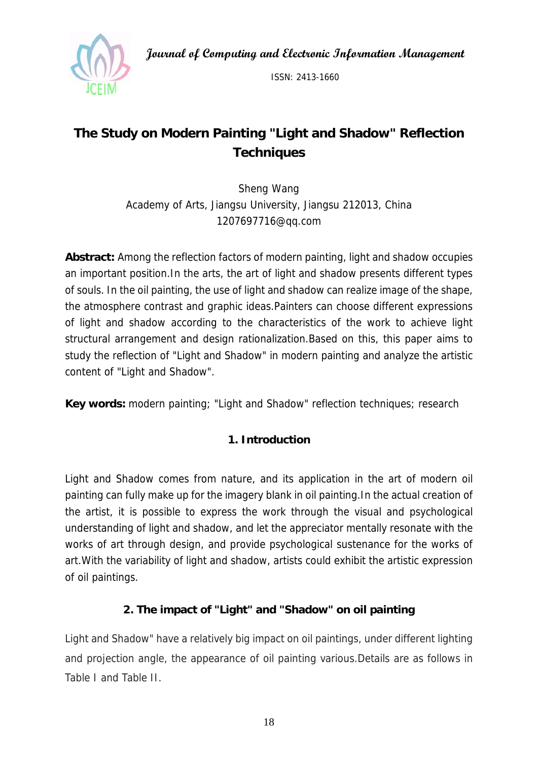**Journal of Computing and Electronic Information Management** 



ISSN: 2413-1660

# **The Study on Modern Painting "Light and Shadow" Reflection Techniques**

Sheng Wang Academy of Arts, Jiangsu University, Jiangsu 212013, China 1207697716@qq.com

**Abstract:** Among the reflection factors of modern painting, light and shadow occupies an important position.In the arts, the art of light and shadow presents different types of souls. In the oil painting, the use of light and shadow can realize image of the shape, the atmosphere contrast and graphic ideas.Painters can choose different expressions of light and shadow according to the characteristics of the work to achieve light structural arrangement and design rationalization.Based on this, this paper aims to study the reflection of "Light and Shadow" in modern painting and analyze the artistic content of "Light and Shadow".

**Key words:** modern painting; "Light and Shadow" reflection techniques; research

# **1. Introduction**

Light and Shadow comes from nature, and its application in the art of modern oil painting can fully make up for the imagery blank in oil painting.In the actual creation of the artist, it is possible to express the work through the visual and psychological understanding of light and shadow, and let the appreciator mentally resonate with the works of art through design, and provide psychological sustenance for the works of art.With the variability of light and shadow, artists could exhibit the artistic expression of oil paintings.

# **2. The impact of "Light" and "Shadow" on oil painting**

Light and Shadow" have a relatively big impact on oil paintings, under different lighting and projection angle, the appearance of oil painting various.Details are as follows in Table I and Table II.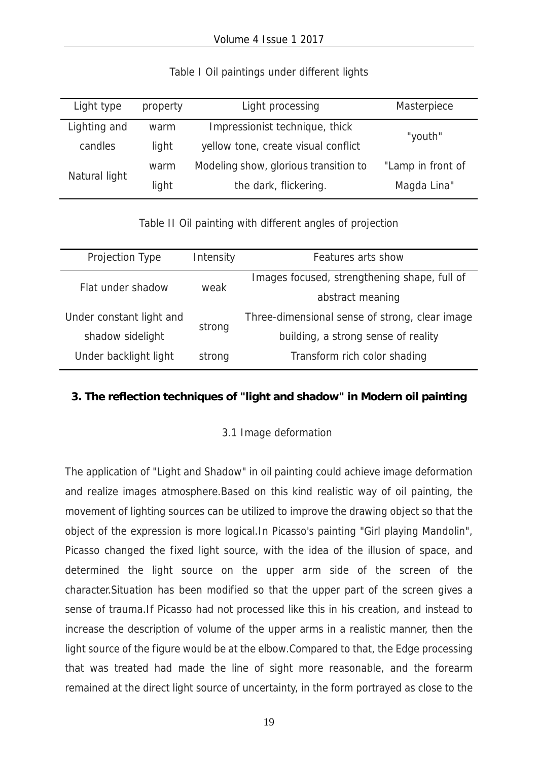| Light type    | property | Light processing                          | Masterpiece       |
|---------------|----------|-------------------------------------------|-------------------|
| Lighting and  | warm     | Impressionist technique, thick<br>"youth" |                   |
| candles       | light    | yellow tone, create visual conflict       |                   |
| Natural light | warm     | Modeling show, glorious transition to     | "Lamp in front of |
|               | light    | the dark, flickering.                     | Magda Lina"       |

#### Table I Oil paintings under different lights

Table II Oil painting with different angles of projection

| Projection Type          | Intensity | Features arts show                             |  |
|--------------------------|-----------|------------------------------------------------|--|
| Flat under shadow        | weak      | Images focused, strengthening shape, full of   |  |
|                          |           | abstract meaning                               |  |
| Under constant light and | strong    | Three-dimensional sense of strong, clear image |  |
| shadow sidelight         |           | building, a strong sense of reality            |  |
| Under backlight light    | strong    | Transform rich color shading                   |  |

#### **3. The reflection techniques of "light and shadow" in Modern oil painting**

#### 3.1 Image deformation

The application of "Light and Shadow" in oil painting could achieve image deformation and realize images atmosphere.Based on this kind realistic way of oil painting, the movement of lighting sources can be utilized to improve the drawing object so that the object of the expression is more logical.In Picasso's painting "Girl playing Mandolin", Picasso changed the fixed light source, with the idea of the illusion of space, and determined the light source on the upper arm side of the screen of the character.Situation has been modified so that the upper part of the screen gives a sense of trauma.If Picasso had not processed like this in his creation, and instead to increase the description of volume of the upper arms in a realistic manner, then the light source of the figure would be at the elbow.Compared to that, the Edge processing that was treated had made the line of sight more reasonable, and the forearm remained at the direct light source of uncertainty, in the form portrayed as close to the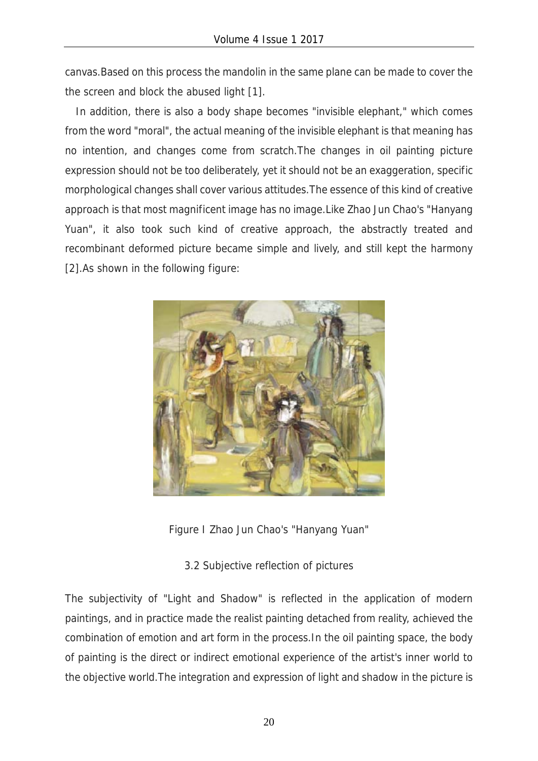canvas.Based on this process the mandolin in the same plane can be made to cover the the screen and block the abused light [1].

In addition, there is also a body shape becomes "invisible elephant," which comes from the word "moral", the actual meaning of the invisible elephant is that meaning has no intention, and changes come from scratch.The changes in oil painting picture expression should not be too deliberately, yet it should not be an exaggeration, specific morphological changes shall cover various attitudes.The essence of this kind of creative approach is that most magnificent image has no image.Like Zhao Jun Chao's "Hanyang Yuan", it also took such kind of creative approach, the abstractly treated and recombinant deformed picture became simple and lively, and still kept the harmony [2].As shown in the following figure:



Figure I Zhao Jun Chao's "Hanyang Yuan"

### 3.2 Subjective reflection of pictures

The subjectivity of "Light and Shadow" is reflected in the application of modern paintings, and in practice made the realist painting detached from reality, achieved the combination of emotion and art form in the process.In the oil painting space, the body of painting is the direct or indirect emotional experience of the artist's inner world to the objective world.The integration and expression of light and shadow in the picture is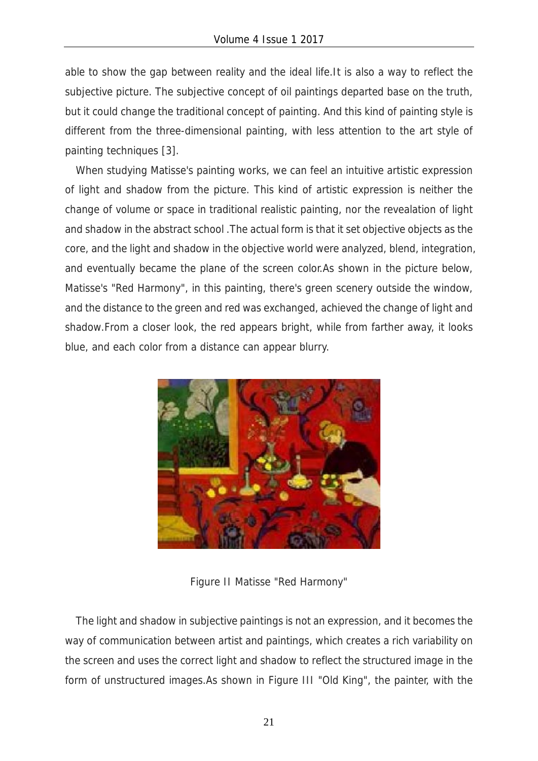able to show the gap between reality and the ideal life.It is also a way to reflect the subjective picture. The subjective concept of oil paintings departed base on the truth, but it could change the traditional concept of painting. And this kind of painting style is different from the three-dimensional painting, with less attention to the art style of painting techniques [3].

When studying Matisse's painting works, we can feel an intuitive artistic expression of light and shadow from the picture. This kind of artistic expression is neither the change of volume or space in traditional realistic painting, nor the revealation of light and shadow in the abstract school .The actual form is that it set objective objects as the core, and the light and shadow in the objective world were analyzed, blend, integration, and eventually became the plane of the screen color.As shown in the picture below, Matisse's "Red Harmony", in this painting, there's green scenery outside the window, and the distance to the green and red was exchanged, achieved the change of light and shadow.From a closer look, the red appears bright, while from farther away, it looks blue, and each color from a distance can appear blurry.



Figure II Matisse "Red Harmony"

The light and shadow in subjective paintings is not an expression, and it becomes the way of communication between artist and paintings, which creates a rich variability on the screen and uses the correct light and shadow to reflect the structured image in the form of unstructured images.As shown in Figure III "Old King", the painter, with the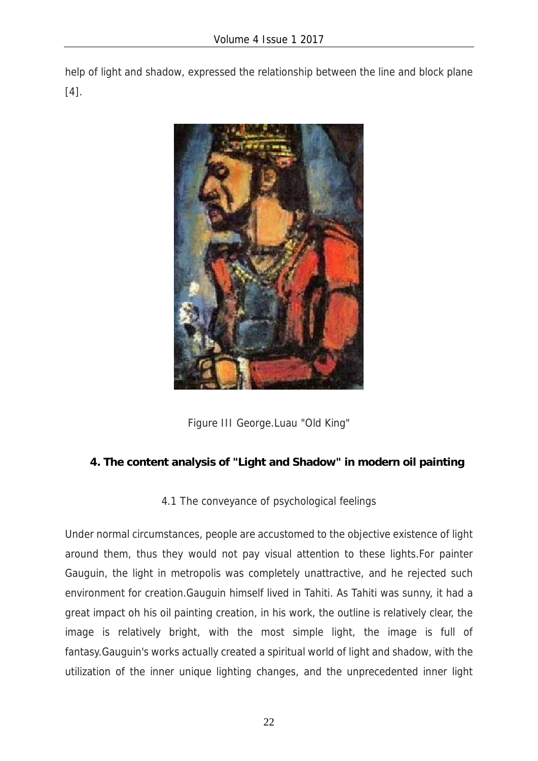help of light and shadow, expressed the relationship between the line and block plane [4].



Figure III George.Luau "Old King"

# **4. The content analysis of "Light and Shadow" in modern oil painting**

4.1 The conveyance of psychological feelings

Under normal circumstances, people are accustomed to the objective existence of light around them, thus they would not pay visual attention to these lights.For painter Gauguin, the light in metropolis was completely unattractive, and he rejected such environment for creation.Gauguin himself lived in Tahiti. As Tahiti was sunny, it had a great impact oh his oil painting creation, in his work, the outline is relatively clear, the image is relatively bright, with the most simple light, the image is full of fantasy.Gauguin's works actually created a spiritual world of light and shadow, with the utilization of the inner unique lighting changes, and the unprecedented inner light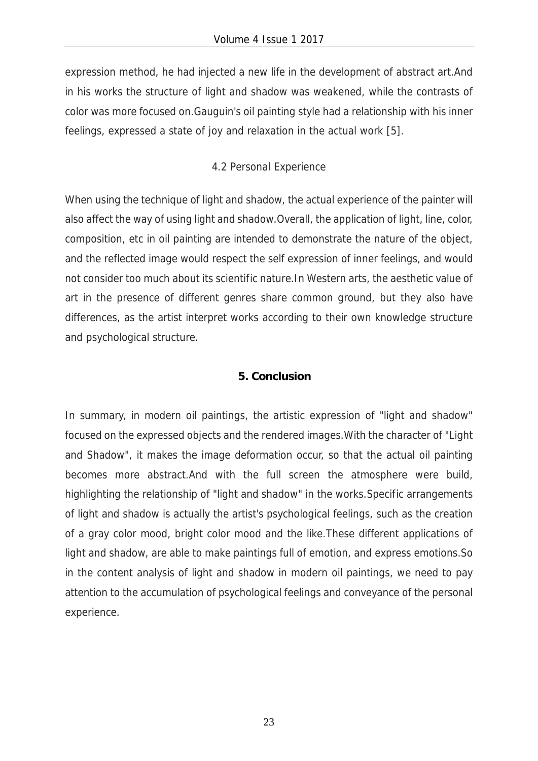expression method, he had injected a new life in the development of abstract art.And in his works the structure of light and shadow was weakened, while the contrasts of color was more focused on.Gauguin's oil painting style had a relationship with his inner feelings, expressed a state of joy and relaxation in the actual work [5].

## 4.2 Personal Experience

When using the technique of light and shadow, the actual experience of the painter will also affect the way of using light and shadow.Overall, the application of light, line, color, composition, etc in oil painting are intended to demonstrate the nature of the object, and the reflected image would respect the self expression of inner feelings, and would not consider too much about its scientific nature.In Western arts, the aesthetic value of art in the presence of different genres share common ground, but they also have differences, as the artist interpret works according to their own knowledge structure and psychological structure.

#### **5. Conclusion**

In summary, in modern oil paintings, the artistic expression of "light and shadow" focused on the expressed objects and the rendered images.With the character of "Light and Shadow", it makes the image deformation occur, so that the actual oil painting becomes more abstract.And with the full screen the atmosphere were build, highlighting the relationship of "light and shadow" in the works.Specific arrangements of light and shadow is actually the artist's psychological feelings, such as the creation of a gray color mood, bright color mood and the like.These different applications of light and shadow, are able to make paintings full of emotion, and express emotions.So in the content analysis of light and shadow in modern oil paintings, we need to pay attention to the accumulation of psychological feelings and conveyance of the personal experience.